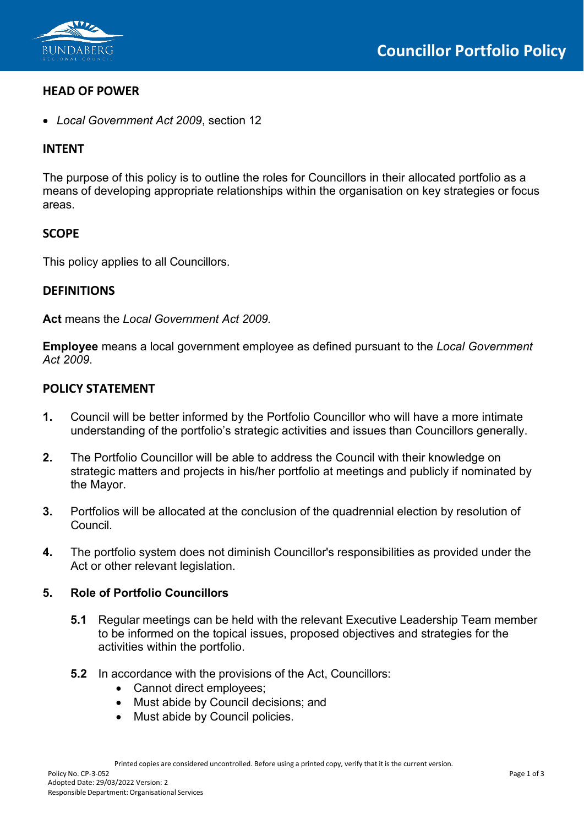

# **HEAD OF POWER**

• *Local Government Act 2009*, section 12

# **INTENT**

The purpose of this policy is to outline the roles for Councillors in their allocated portfolio as a means of developing appropriate relationships within the organisation on key strategies or focus areas.

# **SCOPE**

This policy applies to all Councillors.

## **DEFINITIONS**

**Act** means the *Local Government Act 2009.*

**Employee** means a local government employee as defined pursuant to the *Local Government Act 2009*.

## **POLICY STATEMENT**

- **1.** Council will be better informed by the Portfolio Councillor who will have a more intimate understanding of the portfolio's strategic activities and issues than Councillors generally.
- **2.** The Portfolio Councillor will be able to address the Council with their knowledge on strategic matters and projects in his/her portfolio at meetings and publicly if nominated by the Mayor.
- **3.** Portfolios will be allocated at the conclusion of the quadrennial election by resolution of Council.
- **4.** The portfolio system does not diminish Councillor's responsibilities as provided under the Act or other relevant legislation.

#### **5. Role of Portfolio Councillors**

- **5.1** Regular meetings can be held with the relevant Executive Leadership Team member to be informed on the topical issues, proposed objectives and strategies for the activities within the portfolio.
- **5.2** In accordance with the provisions of the Act, Councillors:
	- Cannot direct employees;
	- Must abide by Council decisions; and
	- Must abide by Council policies.

Printed copies are considered uncontrolled. Before using a printed copy, verify that it is the current version.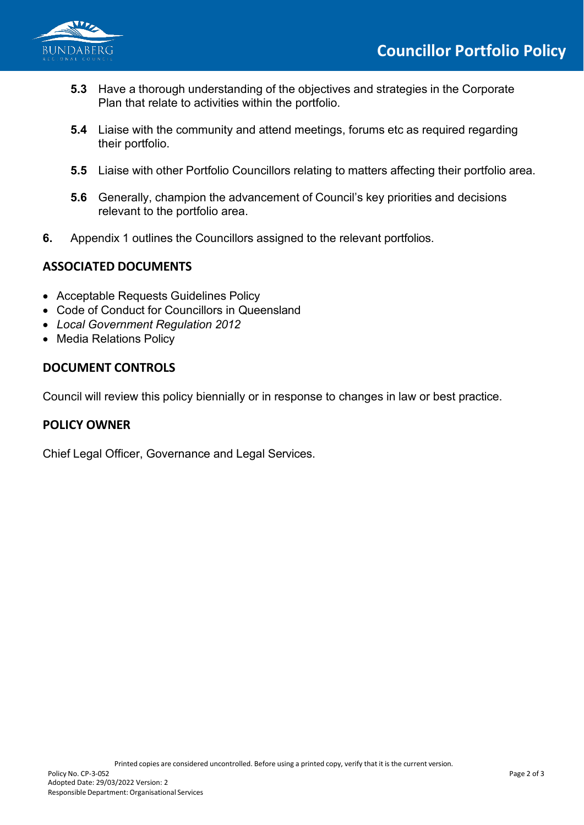

- **5.3** Have a thorough understanding of the objectives and strategies in the Corporate Plan that relate to activities within the portfolio.
- **5.4** Liaise with the community and attend meetings, forums etc as required regarding their portfolio.
- **5.5** Liaise with other Portfolio Councillors relating to matters affecting their portfolio area.
- **5.6** Generally, champion the advancement of Council's key priorities and decisions relevant to the portfolio area.
- **6.** Appendix 1 outlines the Councillors assigned to the relevant portfolios.

# **ASSOCIATED DOCUMENTS**

- Acceptable Requests Guidelines Policy
- Code of Conduct for Councillors in Queensland
- *Local Government Regulation 2012*
- Media Relations Policy

# **DOCUMENT CONTROLS**

Council will review this policy biennially or in response to changes in law or best practice.

# **POLICY OWNER**

Chief Legal Officer, Governance and Legal Services.